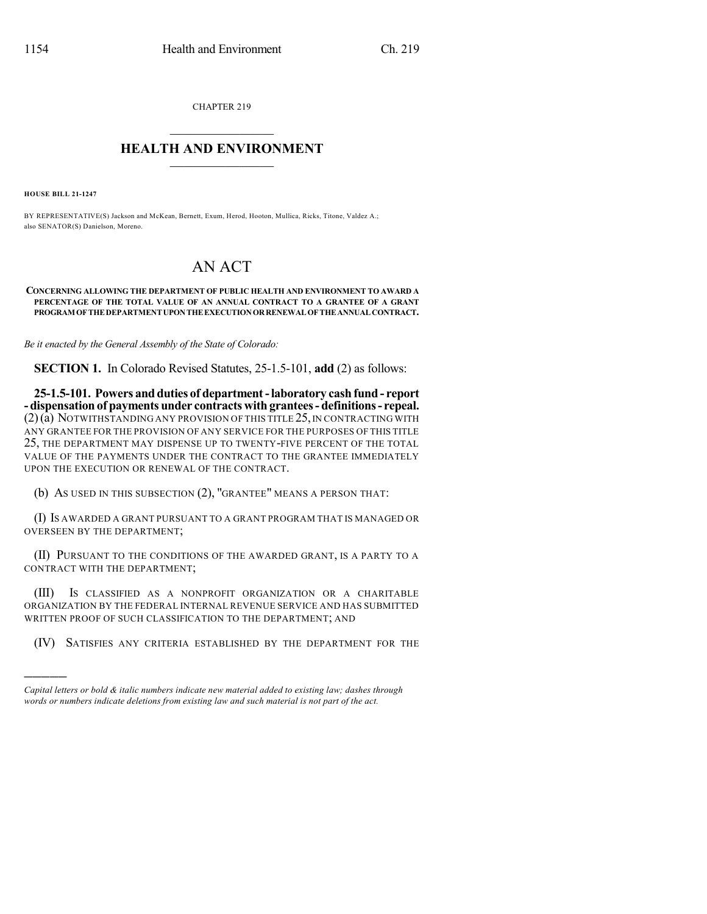CHAPTER 219

## $\overline{\phantom{a}}$  . The set of the set of the set of the set of the set of the set of the set of the set of the set of the set of the set of the set of the set of the set of the set of the set of the set of the set of the set o **HEALTH AND ENVIRONMENT**  $\_$

**HOUSE BILL 21-1247**

)))))

BY REPRESENTATIVE(S) Jackson and McKean, Bernett, Exum, Herod, Hooton, Mullica, Ricks, Titone, Valdez A.; also SENATOR(S) Danielson, Moreno.

## AN ACT

## **CONCERNING ALLOWING THE DEPARTMENT OF PUBLIC HEALTH AND ENVIRONMENT TO AWARD A PERCENTAGE OF THE TOTAL VALUE OF AN ANNUAL CONTRACT TO A GRANTEE OF A GRANT PROGRAM OFTHEDEPARTMENTUPONTHEEXECUTIONORRENEWALOFTHEANNUALCONTRACT.**

*Be it enacted by the General Assembly of the State of Colorado:*

**SECTION 1.** In Colorado Revised Statutes, 25-1.5-101, **add** (2) as follows:

**25-1.5-101. Powers and duties of department-laboratory cashfund - report -dispensationof payments under contracts with grantees- definitions- repeal.**  $(2)(\tilde{a})$  Notwithstanding any provision of this title 25, in contracting with ANY GRANTEE FOR THE PROVISION OF ANY SERVICE FOR THE PURPOSES OF THIS TITLE 25, THE DEPARTMENT MAY DISPENSE UP TO TWENTY-FIVE PERCENT OF THE TOTAL VALUE OF THE PAYMENTS UNDER THE CONTRACT TO THE GRANTEE IMMEDIATELY UPON THE EXECUTION OR RENEWAL OF THE CONTRACT.

(b) AS USED IN THIS SUBSECTION (2), "GRANTEE" MEANS A PERSON THAT:

(I) IS AWARDED A GRANT PURSUANT TO A GRANT PROGRAM THAT IS MANAGED OR OVERSEEN BY THE DEPARTMENT;

(II) PURSUANT TO THE CONDITIONS OF THE AWARDED GRANT, IS A PARTY TO A CONTRACT WITH THE DEPARTMENT;

(III) IS CLASSIFIED AS A NONPROFIT ORGANIZATION OR A CHARITABLE ORGANIZATION BY THE FEDERAL INTERNAL REVENUE SERVICE AND HAS SUBMITTED WRITTEN PROOF OF SUCH CLASSIFICATION TO THE DEPARTMENT; AND

(IV) SATISFIES ANY CRITERIA ESTABLISHED BY THE DEPARTMENT FOR THE

*Capital letters or bold & italic numbers indicate new material added to existing law; dashes through words or numbers indicate deletions from existing law and such material is not part of the act.*